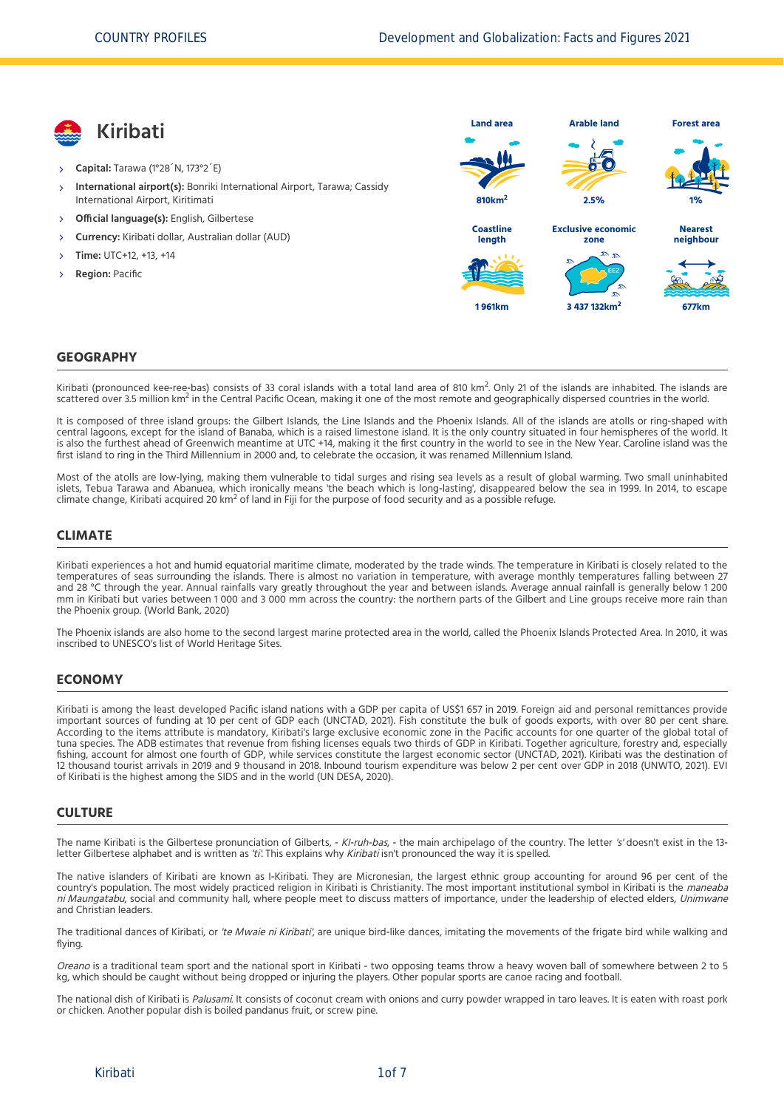

- **Capital:** Tarawa (1°28´N, 173°2´E)
- **International airport(s):** Bonriki International Airport, Tarawa; Cassidy International Airport, Kiritimati X,
- **Official language(s):** English, Gilbertese
- **Currency:** Kiribati dollar, Australian dollar (AUD)
- **Time:** UTC+12, +13, +14
- **Region:** Pacific



#### **GEOGRAPHY**

Kiribati (pronounced kee-ree-bas) consists of 33 coral islands with a total land area of 810 km<sup>2</sup>. Only 21 of the islands are inhabited. The islands are<br>contrared aver 35 million km<sup>2</sup> in the Contral Dacific Ocean making scattered over 3.5 million km<sup>2</sup> in the Central Pacific Ocean, making it one of the most remote and geographically dispersed countries in the world.

It is composed of three island groups: the Gilbert Islands, the Line Islands and the Phoenix Islands. All of the islands are atolls or ring-shaped with central lagoons, except for the island of Banaba, which is a raised limestone island. It is the only country situated in four hemispheres of the world. It is also the furthest ahead of Greenwich meantime at UTC +14, making it the first country in the world to see in the New Year. Caroline island was the first island to ring in the Third Millennium in 2000 and, to celebrate the occasion, it was renamed Millennium Island.

Most of the atolls are low‐lying, making them vulnerable to tidal surges and rising sea levels as a result of global warming. Two small uninhabited islets, Tebua Tarawa and Abanuea, which ironically means 'the beach which is long‐lasting', disappeared below the sea in 1999. In 2014, to escape climate change, Kiribati acquired 20 km<sup>2</sup> of land in Fiji for the purpose of food security and as a possible refuge.

### **CLIMATE**

Kiribati experiences a hot and humid equatorial maritime climate, moderated by the trade winds. The temperature in Kiribati is closely related to the temperatures of seas surrounding the islands. There is almost no variation in temperature, with average monthly temperatures falling between 27 and 28 °C through the year. Annual rainfalls vary greatly throughout the year and between islands. Average annual rainfall is generally below 1 200 mm in Kiribati but varies between 1 000 and 3 000 mm across the country: the northern parts of the Gilbert and Line groups receive more rain than the Phoenix group. [\(World Bank, 2020\)](#page-6-0)

The Phoenix islands are also home to the second largest marine protected area in the world, called the Phoenix Islands Protected Area. In 2010, it was inscribed to UNESCO's list of World Heritage Sites.

### **ECONOMY**

Kiribati is among the least developed Pacific island nations with a GDP per capita of US\$1 657 in 2019. Foreign aid and personal remittances provide important sources of funding at 10 per cent of GDP each [\(UNCTAD, 2021\)](#page-6-1). Fish constitute the bulk of goods exports, with over 80 per cent share. According to the items attribute is mandatory, Kiribati's large exclusive economic zone in the Pacific accounts for one quarter of the global total of tuna species. The ADB estimates that revenue from fishing licenses equals two thirds of GDP in Kiribati. Together agriculture, forestry and, especially fishing, account for almost one fourth of GDP, while services constitute the largest economic sector [\(UNCTAD, 2021\)](#page-6-1). Kiribati was the destination of 12 thousand tourist arrivals in 2019 and 9 thousand in 2018. Inbound tourism expenditure was below 2 per cent over GDP in 2018 [\(UNWTO, 2021\).](#page-6-2) EVI of Kiribati is the highest among the SIDS and in the world [\(UN DESA, 2020\)](#page-6-3).

### **CULTURE**

The name Kiribati is the Gilbertese pronunciation of Gilberts, - KI-ruh-bas, - the main archipelago of the country. The letter 's' doesn't exist in the 13letter Gilbertese alphabet and is written as 'ti'. This explains why Kiribati isn't pronounced the way it is spelled.

The native islanders of Kiribati are known as I‐Kiribati. They are Micronesian, the largest ethnic group accounting for around 96 per cent of the country's population. The most widely practiced religion in Kiribati is Christianity. The most important institutional symbol in Kiribati is the maneaba ni Maungatabu, social and community hall, where people meet to discuss matters of importance, under the leadership of elected elders, Unimwane and Christian leaders.

The traditional dances of Kiribati, or 'te Mwaie ni Kiribati', are unique bird-like dances, imitating the movements of the frigate bird while walking and flying.

Oreano is a traditional team sport and the national sport in Kiribati - two opposing teams throw a heavy woven ball of somewhere between 2 to 5 kg, which should be caught without being dropped or injuring the players. Other popular sports are canoe racing and football.

The national dish of Kiribati is Palusami. It consists of coconut cream with onions and curry powder wrapped in taro leaves. It is eaten with roast pork or chicken. Another popular dish is boiled pandanus fruit, or screw pine.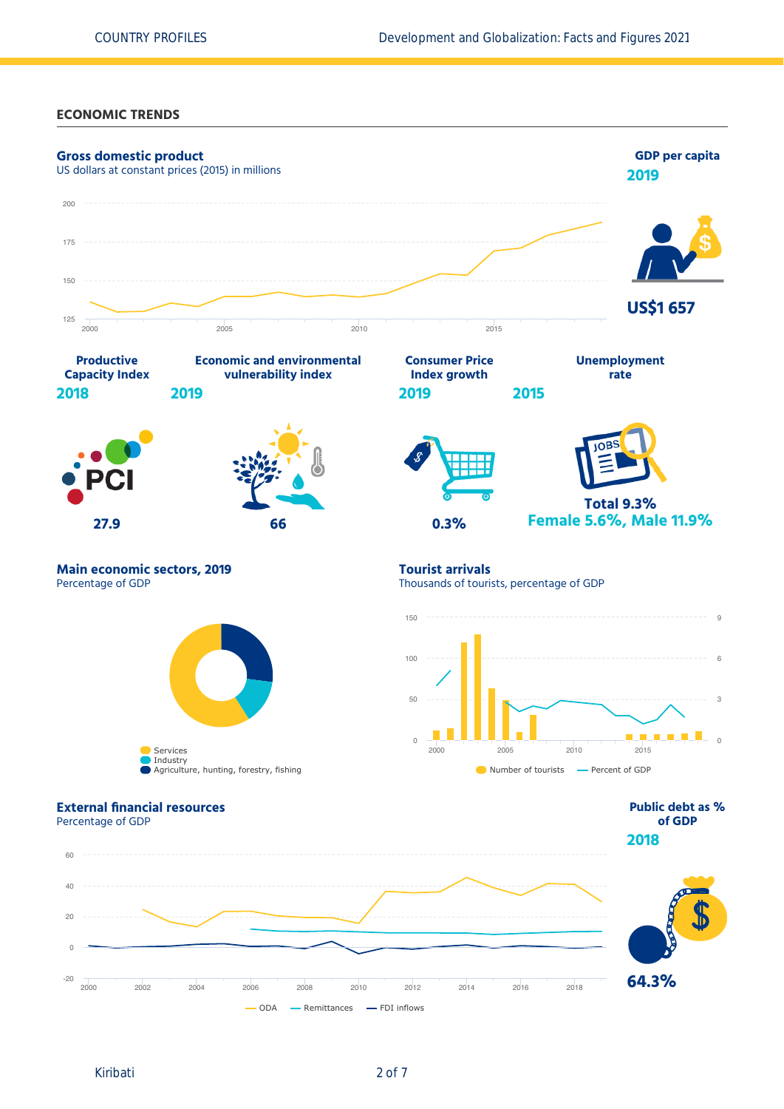**ECONOMIC TRENDS**

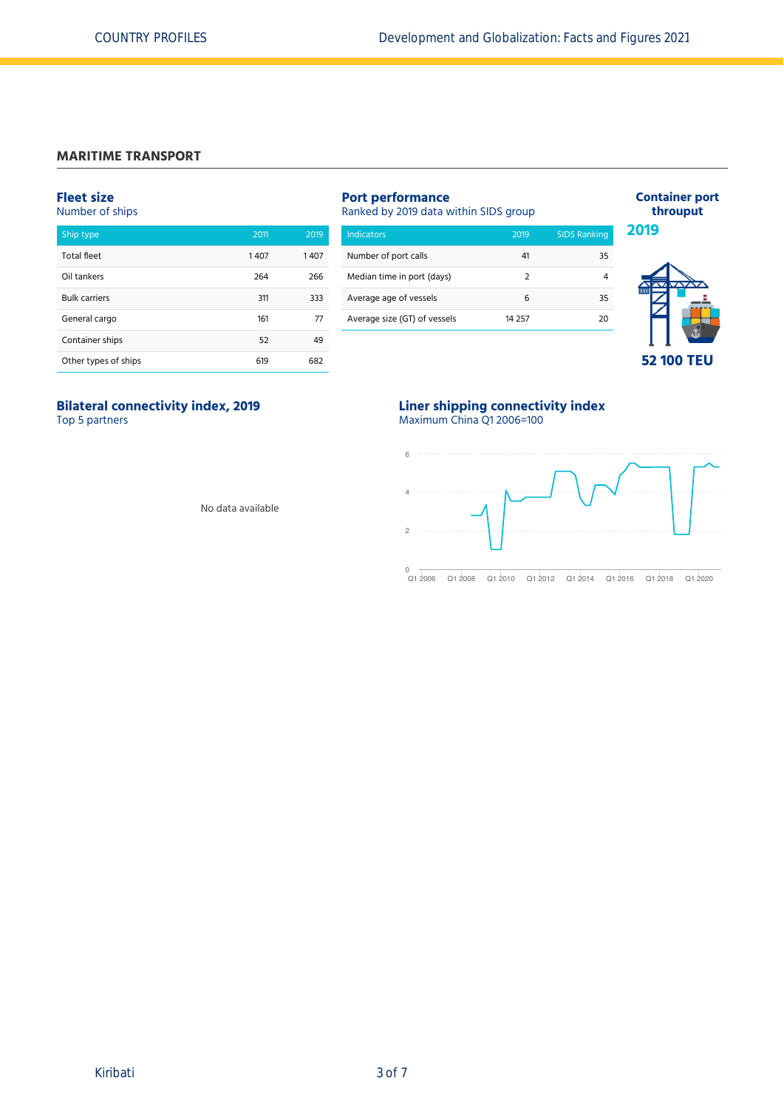# **MARITIME TRANSPORT**

# **Fleet size**

Number of ships

| Ship type            | 2011 | 2019 |
|----------------------|------|------|
| <b>Total fleet</b>   | 1407 | 1407 |
| Oil tankers          | 264  | 266  |
| <b>Bulk carriers</b> | 311  | 333  |
| General cargo        | 161  | 77   |
| Container ships      | 52   | 49   |
| Other types of ships | 619  | 682  |

| <b>Port performance</b><br>Ranked by 2019 data within SIDS group |               |                     |  |  |  |  |
|------------------------------------------------------------------|---------------|---------------------|--|--|--|--|
| Indicators                                                       | 2019          | <b>SIDS Ranking</b> |  |  |  |  |
| Number of port calls                                             | 41            | 35                  |  |  |  |  |
| Median time in port (days)                                       | $\mathcal{P}$ |                     |  |  |  |  |
| Average age of vessels                                           | 6             | 35                  |  |  |  |  |
| Average size (GT) of vessels                                     | 14 2 5 7      | 20                  |  |  |  |  |
|                                                                  |               |                     |  |  |  |  |



**Container port throuput**

# **Bilateral connectivity index, 2019** Top 5 partners

# **Liner shipping connectivity index** Maximum China Q1 2006=100



Q1 2006 Q1 2008 Q1 2010 Q1 2012 Q1 2014 Q1 2016 Q1 2018 Q1 2020

No data available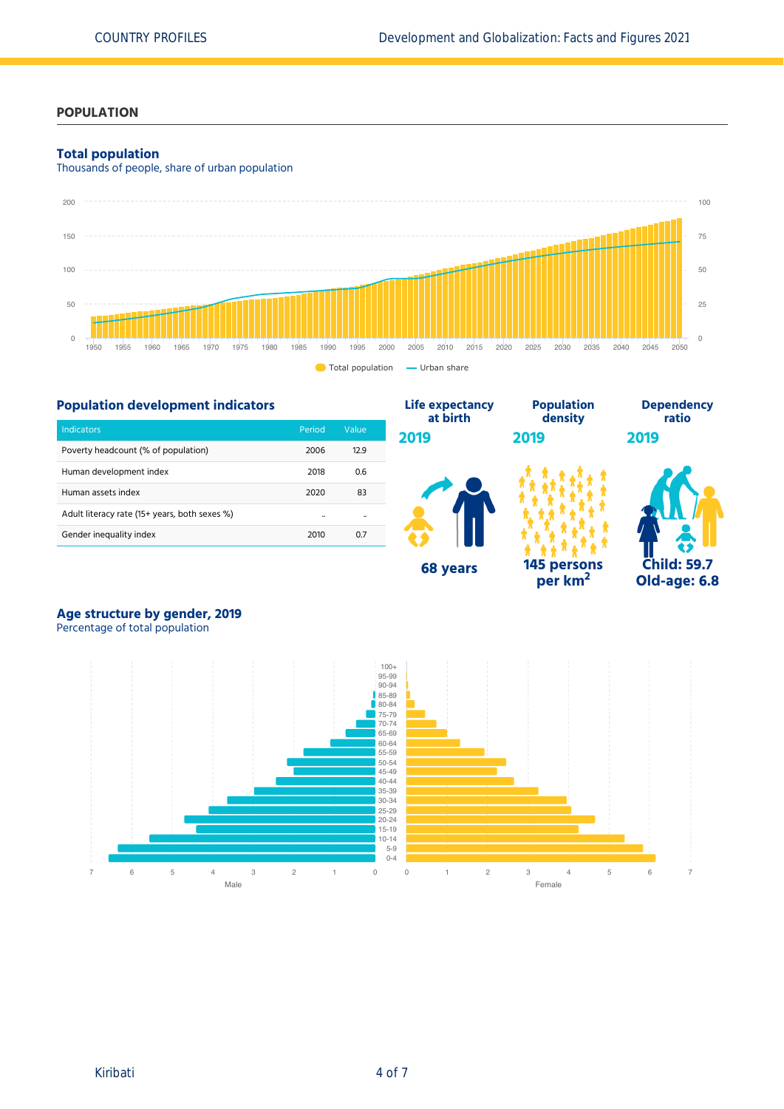### **POPULATION**

### **Total population**

Thousands of people, share of urban population



#### **Population development indicators** Indicators Period Value Poverty headcount (% of population) 2006 12.9 Human development index 1992 100 100 100 100 2018 100 100 2018 Human assets index 2020 83 Adult literacy rate (15+ years, both sexes %) and the case of the case of the case of the case of the case of Gender inequality index 2010 0.7 **Life expectancy at birth 2019 68 years Population density 2019 145 persons per km<sup>2</sup> Dependency ratio 2019 Child: 59.7 Old-age: 6.8**

# **Age structure by gender, 2019**

Percentage of total population

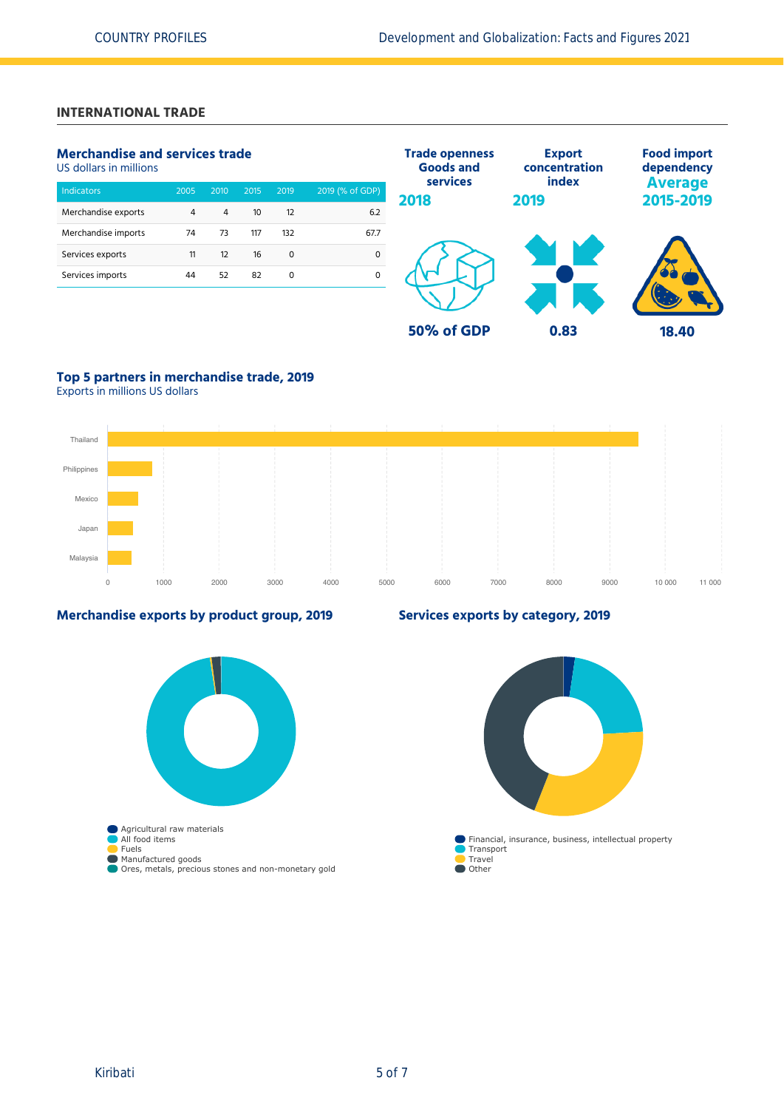# **INTERNATIONAL TRADE**

# **Merchandise and services trade**

US dollars in millions

| <b>Indicators</b>   | 2005 | 2010 | 2015 | 2019     | 2019 (% of GDP) |
|---------------------|------|------|------|----------|-----------------|
| Merchandise exports | 4    | 4    | 10   | 12       | 6.2             |
| Merchandise imports | 74   | 73   | 117  | 132      | 67.7            |
| Services exports    | 11   | 12   | 16   | $\Omega$ |                 |
| Services imports    | 44   | 52   | 82   | 0        |                 |



# **Top 5 partners in merchandise trade, 2019**

Exports in millions US dollars



### **Merchandise exports by product group, 2019**



# **Services exports by category, 2019**

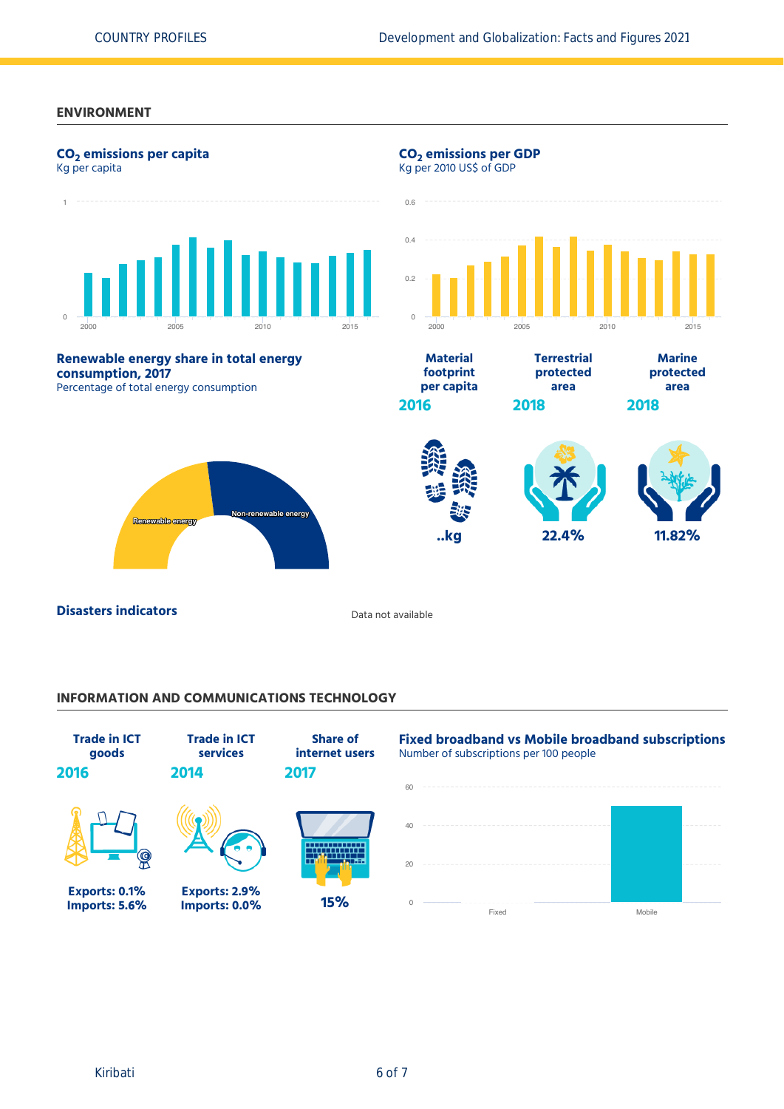### **ENVIRONMENT**



## **INFORMATION AND COMMUNICATIONS TECHNOLOGY**